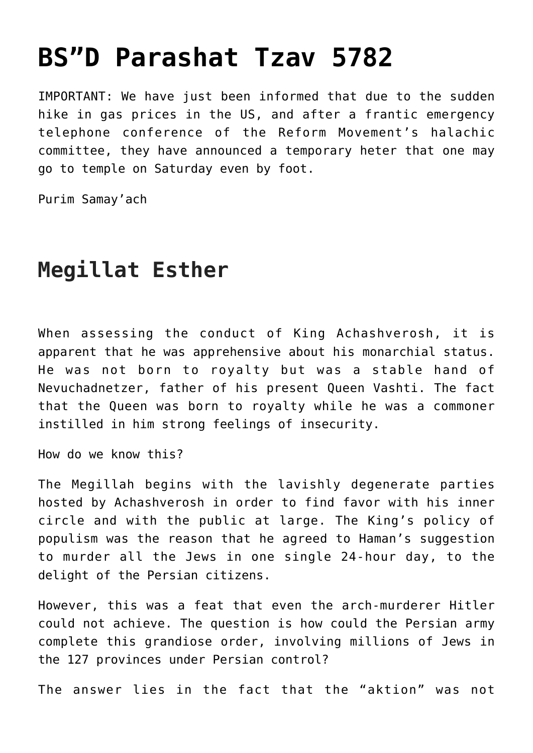## **[BS"D Parashat Tzav 5782](https://nachmankahana.com/bsd-parashat-tzav-5782/)**

IMPORTANT: We have just been informed that due to the sudden hike in gas prices in the US, and after a frantic emergency telephone conference of the Reform Movement's halachic committee, they have announced a temporary heter that one may go to temple on Saturday even by foot.

Purim Samay'ach

## **Megillat Esther**

When assessing the conduct of King Achashverosh, it is apparent that he was apprehensive about his monarchial status. He was not born to royalty but was a stable hand of Nevuchadnetzer, father of his present Queen Vashti. The fact that the Queen was born to royalty while he was a commoner instilled in him strong feelings of insecurity.

How do we know this?

The Megillah begins with the lavishly degenerate parties hosted by Achashverosh in order to find favor with his inner circle and with the public at large. The King's policy of populism was the reason that he agreed to Haman's suggestion to murder all the Jews in one single 24-hour day, to the delight of the Persian citizens.

However, this was a feat that even the arch-murderer Hitler could not achieve. The question is how could the Persian army complete this grandiose order, involving millions of Jews in the 127 provinces under Persian control?

The answer lies in the fact that the "aktion" was not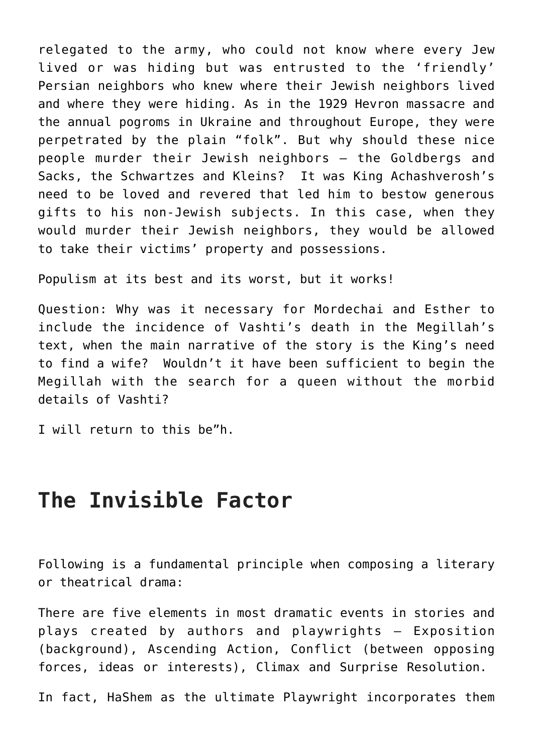relegated to the army, who could not know where every Jew lived or was hiding but was entrusted to the 'friendly' Persian neighbors who knew where their Jewish neighbors lived and where they were hiding. As in the 1929 Hevron massacre and the annual pogroms in Ukraine and throughout Europe, they were perpetrated by the plain "folk". But why should these nice people murder their Jewish neighbors – the Goldbergs and Sacks, the Schwartzes and Kleins? It was King Achashverosh's need to be loved and revered that led him to bestow generous gifts to his non-Jewish subjects. In this case, when they would murder their Jewish neighbors, they would be allowed to take their victims' property and possessions.

Populism at its best and its worst, but it works!

Question: Why was it necessary for Mordechai and Esther to include the incidence of Vashti's death in the Megillah's text, when the main narrative of the story is the King's need to find a wife? Wouldn't it have been sufficient to begin the Megillah with the search for a queen without the morbid details of Vashti?

I will return to this be"h.

## **The Invisible Factor**

Following is a fundamental principle when composing a literary or theatrical drama:

There are five elements in most dramatic events in stories and plays created by authors and playwrights – Exposition (background), Ascending Action, Conflict (between opposing forces, ideas or interests), Climax and Surprise Resolution.

In fact, HaShem as the ultimate Playwright incorporates them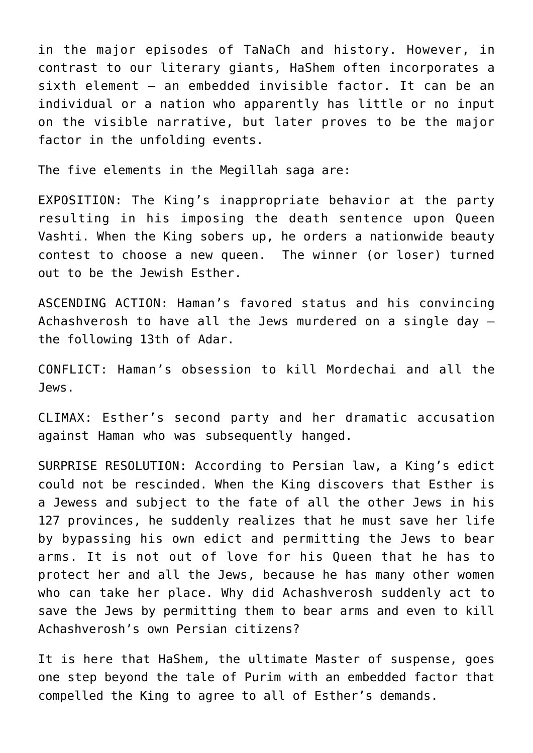in the major episodes of TaNaCh and history. However, in contrast to our literary giants, HaShem often incorporates a sixth element – an embedded invisible factor. It can be an individual or a nation who apparently has little or no input on the visible narrative, but later proves to be the major factor in the unfolding events.

The five elements in the Megillah saga are:

EXPOSITION: The King's inappropriate behavior at the party resulting in his imposing the death sentence upon Queen Vashti. When the King sobers up, he orders a nationwide beauty contest to choose a new queen. The winner (or loser) turned out to be the Jewish Esther.

ASCENDING ACTION: Haman's favored status and his convincing Achashverosh to have all the Jews murdered on a single day – the following 13th of Adar.

CONFLICT: Haman's obsession to kill Mordechai and all the Jews.

CLIMAX: Esther's second party and her dramatic accusation against Haman who was subsequently hanged.

SURPRISE RESOLUTION: According to Persian law, a King's edict could not be rescinded. When the King discovers that Esther is a Jewess and subject to the fate of all the other Jews in his 127 provinces, he suddenly realizes that he must save her life by bypassing his own edict and permitting the Jews to bear arms. It is not out of love for his Queen that he has to protect her and all the Jews, because he has many other women who can take her place. Why did Achashverosh suddenly act to save the Jews by permitting them to bear arms and even to kill Achashverosh's own Persian citizens?

It is here that HaShem, the ultimate Master of suspense, goes one step beyond the tale of Purim with an embedded factor that compelled the King to agree to all of Esther's demands.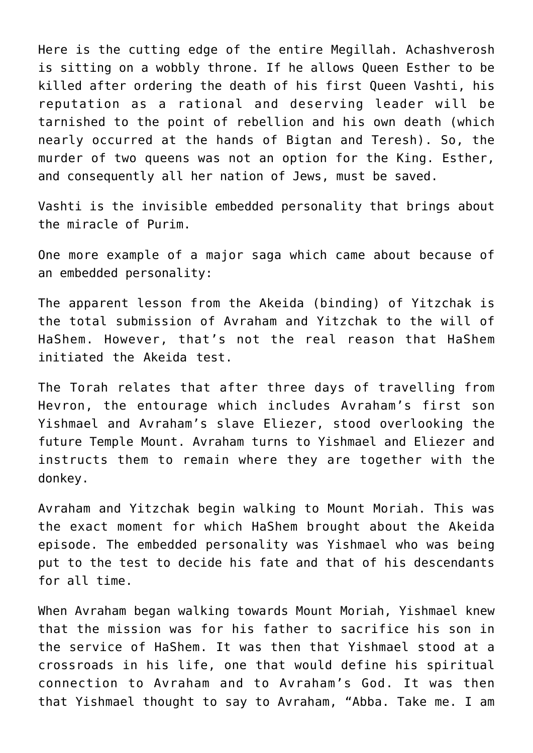Here is the cutting edge of the entire Megillah. Achashverosh is sitting on a wobbly throne. If he allows Queen Esther to be killed after ordering the death of his first Queen Vashti, his reputation as a rational and deserving leader will be tarnished to the point of rebellion and his own death (which nearly occurred at the hands of Bigtan and Teresh). So, the murder of two queens was not an option for the King. Esther, and consequently all her nation of Jews, must be saved.

Vashti is the invisible embedded personality that brings about the miracle of Purim.

One more example of a major saga which came about because of an embedded personality:

The apparent lesson from the Akeida (binding) of Yitzchak is the total submission of Avraham and Yitzchak to the will of HaShem. However, that's not the real reason that HaShem initiated the Akeida test.

The Torah relates that after three days of travelling from Hevron, the entourage which includes Avraham's first son Yishmael and Avraham's slave Eliezer, stood overlooking the future Temple Mount. Avraham turns to Yishmael and Eliezer and instructs them to remain where they are together with the donkey.

Avraham and Yitzchak begin walking to Mount Moriah. This was the exact moment for which HaShem brought about the Akeida episode. The embedded personality was Yishmael who was being put to the test to decide his fate and that of his descendants for all time.

When Avraham began walking towards Mount Moriah, Yishmael knew that the mission was for his father to sacrifice his son in the service of HaShem. It was then that Yishmael stood at a crossroads in his life, one that would define his spiritual connection to Avraham and to Avraham's God. It was then that Yishmael thought to say to Avraham, "Abba. Take me. I am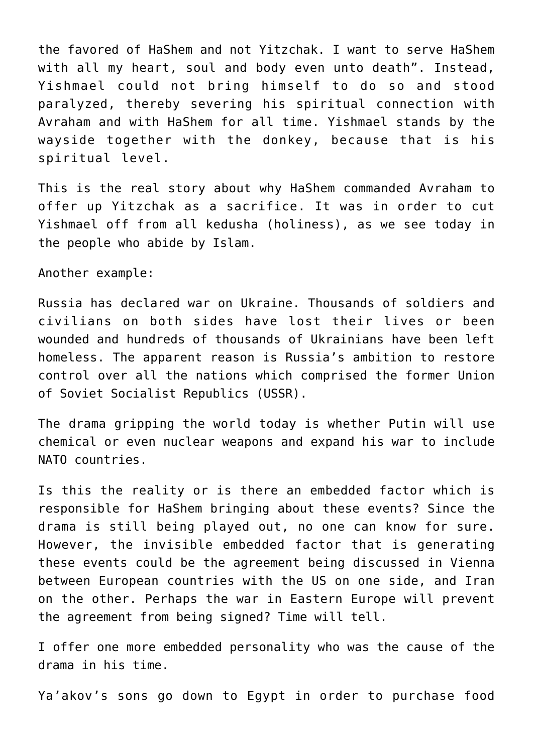the favored of HaShem and not Yitzchak. I want to serve HaShem with all my heart, soul and body even unto death". Instead, Yishmael could not bring himself to do so and stood paralyzed, thereby severing his spiritual connection with Avraham and with HaShem for all time. Yishmael stands by the wayside together with the donkey, because that is his spiritual level.

This is the real story about why HaShem commanded Avraham to offer up Yitzchak as a sacrifice. It was in order to cut Yishmael off from all kedusha (holiness), as we see today in the people who abide by Islam.

Another example:

Russia has declared war on Ukraine. Thousands of soldiers and civilians on both sides have lost their lives or been wounded and hundreds of thousands of Ukrainians have been left homeless. The apparent reason is Russia's ambition to restore control over all the nations which comprised the former Union of Soviet Socialist Republics (USSR).

The drama gripping the world today is whether Putin will use chemical or even nuclear weapons and expand his war to include NATO countries.

Is this the reality or is there an embedded factor which is responsible for HaShem bringing about these events? Since the drama is still being played out, no one can know for sure. However, the invisible embedded factor that is generating these events could be the agreement being discussed in Vienna between European countries with the US on one side, and Iran on the other. Perhaps the war in Eastern Europe will prevent the agreement from being signed? Time will tell.

I offer one more embedded personality who was the cause of the drama in his time.

Ya'akov's sons go down to Egypt in order to purchase food